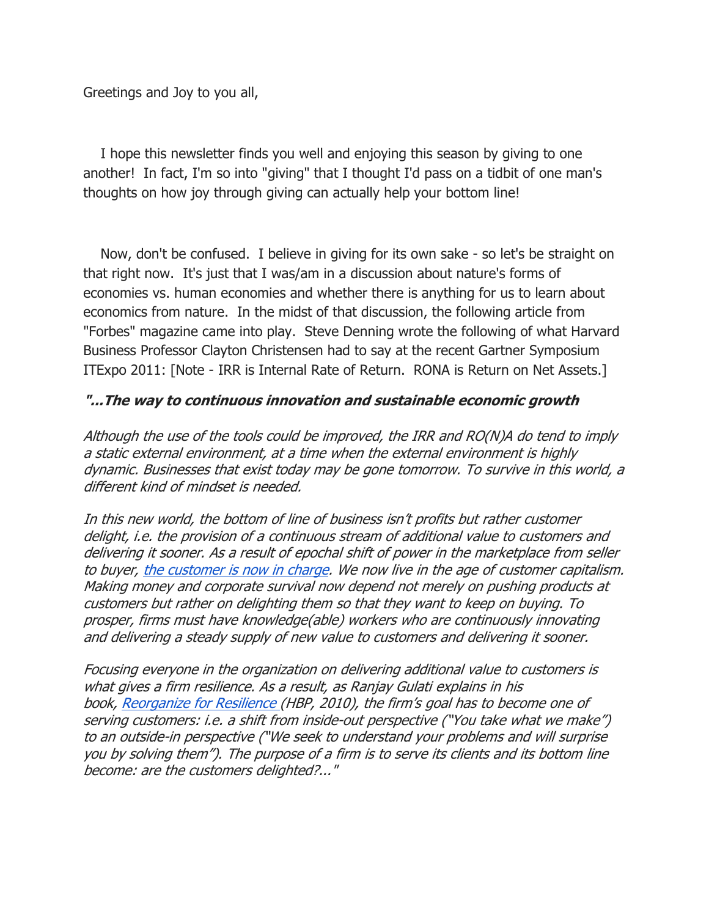Greetings and Joy to you all,

 I hope this newsletter finds you well and enjoying this season by giving to one another! In fact, I'm so into "giving" that I thought I'd pass on a tidbit of one man's thoughts on how joy through giving can actually help your bottom line!

 Now, don't be confused. I believe in giving for its own sake - so let's be straight on that right now. It's just that I was/am in a discussion about nature's forms of economies vs. human economies and whether there is anything for us to learn about economics from nature. In the midst of that discussion, the following article from "Forbes" magazine came into play. Steve Denning wrote the following of what Harvard Business Professor Clayton Christensen had to say at the recent Gartner Symposium ITExpo 2011: [Note - IRR is Internal Rate of Return. RONA is Return on Net Assets.]

## "...The way to continuous innovation and sustainable economic growth

Although the use of the tools could be improved, the IRR and RO(N)A do tend to imply a static external environment, at a time when the external environment is highly dynamic. Businesses that exist today may be gone tomorrow. To survive in this world, a different kind of mindset is needed.

In this new world, the bottom of line of business isn't profits but rather customer delight, i.e. the provision of a continuous stream of additional value to customers and delivering it sooner. As a result of epochal shift of power in the marketplace from seller to buyer, the customer is now in charge. We now live in the age of customer capitalism. Making money and corporate survival now depend not merely on pushing products at customers but rather on delighting them so that they want to keep on buying. To prosper, firms must have knowledge(able) workers who are continuously innovating and delivering a steady supply of new value to customers and delivering it sooner.

Focusing everyone in the organization on delivering additional value to customers is what gives a firm resilience. As a result, as Ranjay Gulati explains in his book, Reorganize for Resilience (HBP, 2010), the firm's goal has to become one of serving customers: i.e. a shift from inside-out perspective ("You take what we make") to an outside-in perspective ("We seek to understand your problems and will surprise you by solving them"). The purpose of a firm is to serve its clients and its bottom line become: are the customers delighted?..."